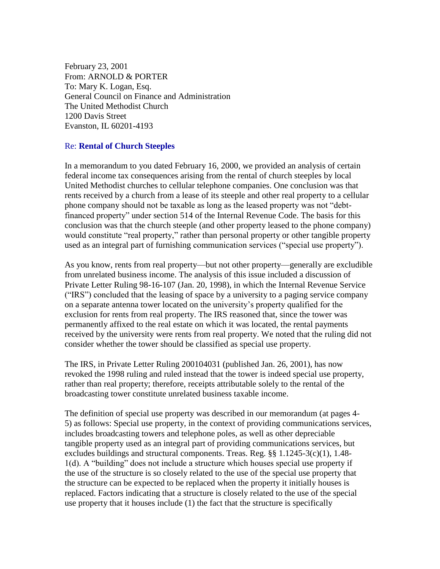February 23, 2001 From: ARNOLD & PORTER To: Mary K. Logan, Esq. General Council on Finance and Administration The United Methodist Church 1200 Davis Street Evanston, IL 60201-4193

## Re: **Rental of Church Steeples**

In a memorandum to you dated February 16, 2000, we provided an analysis of certain federal income tax consequences arising from the rental of church steeples by local United Methodist churches to cellular telephone companies. One conclusion was that rents received by a church from a lease of its steeple and other real property to a cellular phone company should not be taxable as long as the leased property was not "debtfinanced property" under section 514 of the Internal Revenue Code. The basis for this conclusion was that the church steeple (and other property leased to the phone company) would constitute "real property," rather than personal property or other tangible property used as an integral part of furnishing communication services ("special use property").

As you know, rents from real property—but not other property—generally are excludible from unrelated business income. The analysis of this issue included a discussion of Private Letter Ruling 98-16-107 (Jan. 20, 1998), in which the Internal Revenue Service ("IRS") concluded that the leasing of space by a university to a paging service company on a separate antenna tower located on the university's property qualified for the exclusion for rents from real property. The IRS reasoned that, since the tower was permanently affixed to the real estate on which it was located, the rental payments received by the university were rents from real property. We noted that the ruling did not consider whether the tower should be classified as special use property.

The IRS, in Private Letter Ruling 200104031 (published Jan. 26, 2001), has now revoked the 1998 ruling and ruled instead that the tower is indeed special use property, rather than real property; therefore, receipts attributable solely to the rental of the broadcasting tower constitute unrelated business taxable income.

The definition of special use property was described in our memorandum (at pages 4- 5) as follows: Special use property, in the context of providing communications services, includes broadcasting towers and telephone poles, as well as other depreciable tangible property used as an integral part of providing communications services, but excludes buildings and structural components. Treas. Reg. §§ 1.1245-3(c)(1), 1.48- 1(d). A "building" does not include a structure which houses special use property if the use of the structure is so closely related to the use of the special use property that the structure can be expected to be replaced when the property it initially houses is replaced. Factors indicating that a structure is closely related to the use of the special use property that it houses include (1) the fact that the structure is specifically